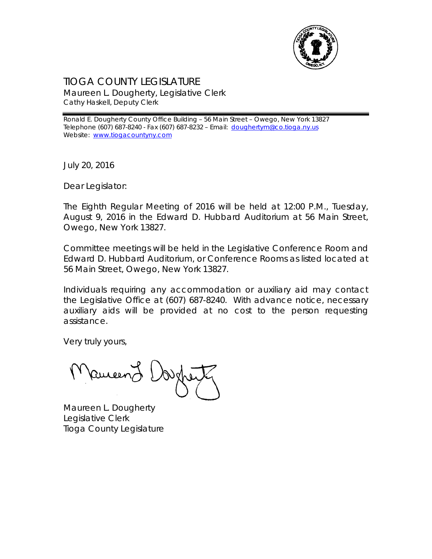

## TIOGA COUNTY LEGISLATURE Maureen L. Dougherty, Legislative Clerk Cathy Haskell, Deputy Clerk

Ronald E. Dougherty County Office Building – 56 Main Street – Owego, New York 13827 Telephone (607) 687-8240 - Fax (607) 687-8232 - Email: [doughertym@co.tioga.ny.us](mailto:doughertym@co.tioga.ny.us) Website: [www.tiogacountyny.com](http://www.tiogacountyny.com/)

July 20, 2016

Dear Legislator:

The Eighth Regular Meeting of 2016 will be held at 12:00 P.M., Tuesday, August 9, 2016 in the Edward D. Hubbard Auditorium at 56 Main Street, Owego, New York 13827.

Committee meetings will be held in the Legislative Conference Room and Edward D. Hubbard Auditorium, or Conference Rooms as listed located at 56 Main Street, Owego, New York 13827.

Individuals requiring any accommodation or auxiliary aid may contact the Legislative Office at (607) 687-8240. With advance notice, necessary auxiliary aids will be provided at no cost to the person requesting assistance.

Very truly yours,

Ruceer

Maureen L. Dougherty Legislative Clerk Tioga County Legislature